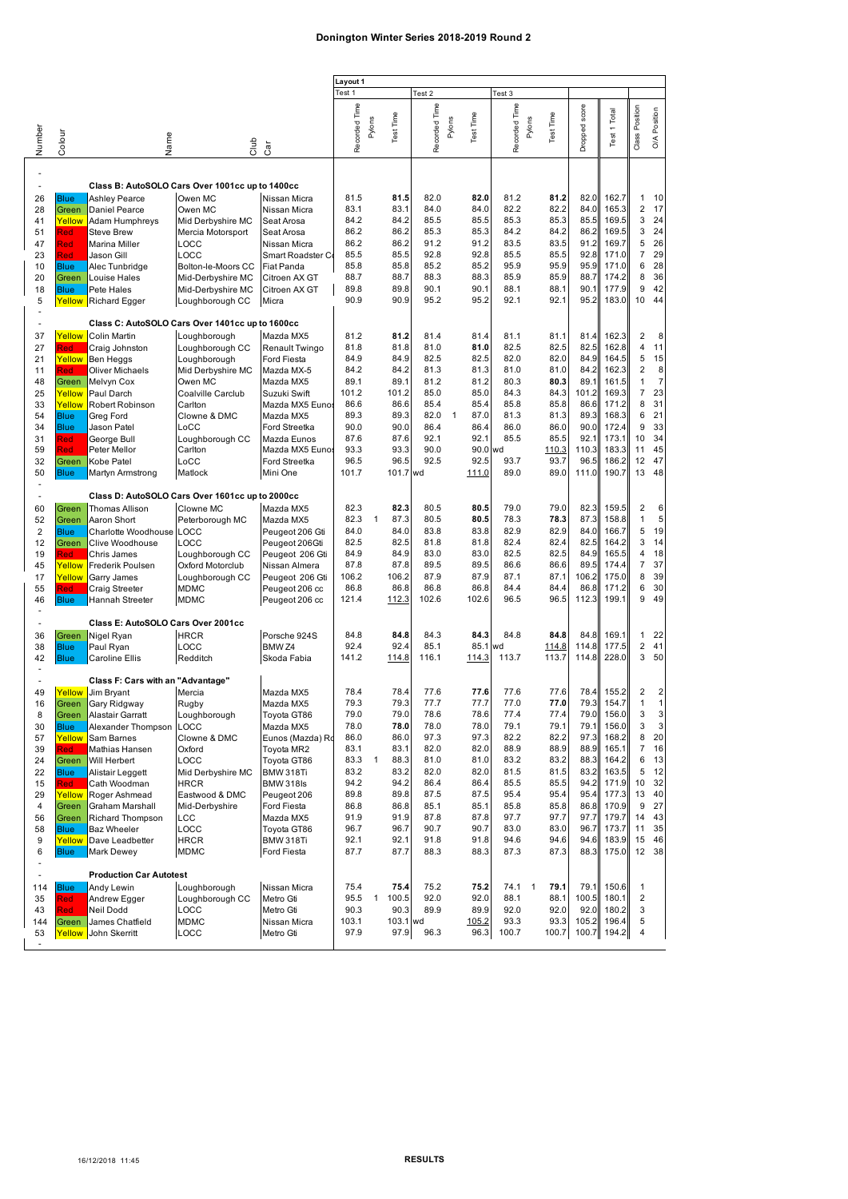## **Donington Winter Series 2018-2019 Round 2**

|                          |                    |                                                 |                                         |                             | Layout 1      |              |              |               |                      |               |                |                  |               |                |                         |                           |
|--------------------------|--------------------|-------------------------------------------------|-----------------------------------------|-----------------------------|---------------|--------------|--------------|---------------|----------------------|---------------|----------------|------------------|---------------|----------------|-------------------------|---------------------------|
|                          |                    |                                                 |                                         |                             | Test 1        |              |              | Test 2        |                      | Test 3        |                |                  |               |                |                         |                           |
|                          |                    |                                                 |                                         |                             | Recorded Time |              |              | Recorded Time |                      | Recorded Time |                |                  |               |                |                         |                           |
|                          |                    |                                                 |                                         |                             |               | Pylons       |              |               | Pylons               |               | Pylons         |                  |               |                |                         |                           |
|                          |                    |                                                 |                                         |                             |               |              | Test Time    |               | Test Time            |               |                | <b>Test Time</b> | Dropped score | Test 1 Total   | Class Position          | O/A Position              |
| Number                   | Colour             | Name                                            | Club                                    | ្ងឺ                         |               |              |              |               |                      |               |                |                  |               |                |                         |                           |
|                          |                    |                                                 |                                         |                             |               |              |              |               |                      |               |                |                  |               |                |                         |                           |
|                          |                    |                                                 |                                         |                             |               |              |              |               |                      |               |                |                  |               |                |                         |                           |
|                          |                    | Class B: AutoSOLO Cars Over 1001cc up to 1400cc |                                         |                             |               |              |              |               |                      |               |                |                  |               |                |                         |                           |
| 26                       | <b>Blue</b>        | Ashley Pearce                                   | Owen MC                                 | Nissan Micra                | 81.5          |              | 81.5         | 82.0          | 82.0                 | 81.2          |                | 81.2             | 82.0          | 162.7          | 1                       | 10                        |
| 28                       | Green              | Daniel Pearce                                   | Owen MC                                 | Nissan Micra                | 83.1          |              | 83.1         | 84.0          | 84.0                 | 82.2          |                | 82.2             | 84.0          | 165.3          | $\overline{2}$          | 17                        |
| 41                       | Yellow             | Adam Humphreys                                  | Mid Derbyshire MC                       | Seat Arosa                  | 84.2          |              | 84.2         | 85.5          | 85.5                 | 85.3          |                | 85.3             | 85.5          | 169.5          | 3                       | 24                        |
| 51                       | Red                | Steve Brew                                      | Mercia Motorsport                       | Seat Arosa                  | 86.2          |              | 86.2         | 85.3          | 85.3                 | 84.2          |                | 84.2             | 86.2          | 169.5          | 3                       | 24                        |
| 47                       | Red                | Marina Miller                                   | LOCC                                    | Nissan Micra                | 86.2          |              | 86.2         | 91.2          | 91.2                 | 83.5<br>85.5  |                | 83.5             | 91.2          | 169.7          | 5<br>$\overline{7}$     | 26<br>29                  |
| 23                       | Red<br>Blue        | Jason Gill                                      | LOCC                                    | Smart Roadster Co           | 85.5<br>85.8  |              | 85.5<br>85.8 | 92.8<br>85.2  | 92.8<br>85.2         | 95.9          |                | 85.5<br>95.9     | 92.8<br>95.9  | 171.0<br>171.0 | 6                       | 28                        |
| 10<br>20                 | Green              | Alec Tunbridge<br>Louise Hales                  | Bolton-le-Moors CC<br>Mid-Derbyshire MC | Fiat Panda<br>Citroen AX GT | 88.7          |              | 88.7         | 88.3          | 88.3                 | 85.9          |                | 85.9             | 88.7          | 174.2          | 8                       | 36                        |
| 18                       | <b>Blue</b>        | Pete Hales                                      | Mid-Derbyshire MC                       | Citroen AX GT               | 89.8          |              | 89.8         | 90.1          | 90.1                 | 88.1          |                | 88.1             | 90.1          | 177.9          | 9                       | 42                        |
| 5                        |                    | Yellow Richard Egger                            | Loughborough CC                         | Micra                       | 90.9          |              | 90.9         | 95.2          | 95.2                 | 92.1          |                | 92.1             | 95.2          | 183.0          | 10                      | 44                        |
|                          |                    |                                                 |                                         |                             |               |              |              |               |                      |               |                |                  |               |                |                         |                           |
| $\overline{\phantom{a}}$ |                    | Class C: AutoSOLO Cars Over 1401cc up to 1600cc |                                         |                             |               |              |              |               |                      |               |                |                  |               |                |                         |                           |
| 37                       | Yellow             | <b>Colin Martin</b>                             | Loughborough                            | Mazda MX5                   | 81.2          |              | 81.2         | 81.4          | 81.4                 | 81.1          |                | 81.1             | 81.4          | 162.3          | 2                       | 8                         |
| 27                       | Red                | Craig Johnston                                  | Loughborough CC                         | Renault Twingo              | 81.8          |              | 81.8         | 81.0          | 81.0                 | 82.5          |                | 82.5             | 82.5          | 162.8          | 4                       | 11                        |
| 21                       | Yellow             | Ben Heggs                                       | Loughborough                            | Ford Fiesta                 | 84.9          |              | 84.9         | 82.5          | 82.5                 | 82.0          |                | 82.0             | 84.9          | 164.5          | 5                       | 15                        |
| 11                       | <b>Red</b>         | Oliver Michaels                                 | Mid Derbyshire MC                       | Mazda MX-5                  | 84.2          |              | 84.2         | 81.3          | 81.3                 | 81.0          |                | 81.0             | 84.2          | 162.3          | 2                       | 8                         |
| 48                       | Green              | Melvyn Cox                                      | Owen MC                                 | Mazda MX5                   | 89.1          |              | 89.1         | 81.2          | 81.2                 | 80.3          |                | 80.3             | 89.1          | 161.5          | 1                       | $\overline{7}$            |
| 25                       | Yellow             | Paul Darch                                      | Coalville Carclub                       | Suzuki Swift                | 101.2         |              | 101.2        | 85.0          | 85.0                 | 84.3          |                | 84.3             | 101.2         | 169.3          | $\overline{7}$          | 23                        |
| 33                       | Yellow             | Robert Robinson                                 | Carlton                                 | Mazda MX5 Eunos             | 86.6          |              | 86.6         | 85.4          | 85.4                 | 85.8          |                | 85.8             | 86.6          | 171.2          | 8                       | 31                        |
| 54                       | <b>Blue</b>        | Greg Ford                                       | Clowne & DMC                            | Mazda MX5                   | 89.3          |              | 89.3         | 82.0          | 87.0<br>$\mathbf{1}$ | 81.3          |                | 81.3             | 89.3          | 168.3          | 6                       | 21                        |
| 34                       | <b>Blue</b>        | Jason Patel                                     | LoCC                                    | Ford Streetka               | 90.0          |              | 90.0         | 86.4          | 86.4                 | 86.0          |                | 86.0             | 90.0          | 172.4          | 9                       | 33                        |
| 31                       | Red                | George Bull                                     | Loughborough CC                         | Mazda Eunos                 | 87.6          |              | 87.6         | 92.1          | 92.1                 | 85.5          |                | 85.5             | 92.1          | 173.1          | 10                      | 34                        |
| 59                       | Red                | Peter Mellor                                    | Carlton                                 | Mazda MX5 Eunos             | 93.3          |              | 93.3         | 90.0          |                      | 90.0 wd       |                | 110.3            | 110.3         | 183.3          | 11                      | 45                        |
| 32                       | Green              | Kobe Patel                                      | LoCC                                    | Ford Streetka               | 96.5          |              | 96.5         | 92.5          | 92.5                 | 93.7<br>89.0  |                | 93.7             | 96.5          | 186.2<br>190.7 | 12<br>13                | 47<br>48                  |
| 50                       | <b>Blue</b>        | Martyn Armstrong                                | Matlock                                 | Mini One                    | 101.7         |              | 101.7 wd     |               | 111.0                |               |                | 89.0             | 111.0         |                |                         |                           |
| ÷,                       |                    | Class D: AutoSOLO Cars Over 1601cc up to 2000cc |                                         |                             |               |              |              |               |                      |               |                |                  |               |                |                         |                           |
| 60                       | Green              | <b>Thomas Allison</b>                           | Clowne MC                               | Mazda MX5                   | 82.3          |              | 82.3         | 80.5          | 80.5                 | 79.0          |                | 79.0             | 82.3          | 159.5          | 2                       | 6                         |
| 52                       | Green              | Aaron Short                                     | Peterborough MC                         | Mazda MX5                   | 82.3          | $\mathbf{1}$ | 87.3         | 80.5          | 80.5                 | 78.3          |                | 78.3             | 87.3          | 158.8          | 1                       | 5                         |
| $\overline{2}$           | <b>Blue</b>        | Charlotte Woodhouse LOCC                        |                                         | Peugeot 206 Gti             | 84.0          |              | 84.0         | 83.8          | 83.8                 | 82.9          |                | 82.9             | 84.0          | 166.7          | 5                       | 19                        |
| 12                       | Green              | Clive Woodhouse                                 | LOCC                                    | Peugeot 206Gti              | 82.5          |              | 82.5         | 81.8          | 81.8                 | 82.4          |                | 82.4             | 82.5          | 164.2          | 3                       | 14                        |
| 19                       | Red                | Chris James                                     | Loughborough CC                         | Peugeot 206 Gti             | 84.9          |              | 84.9         | 83.0          | 83.0                 | 82.5          |                | 82.5             | 84.9          | 165.5          | 4                       | 18                        |
| 45                       | Yellow             | Frederik Poulsen                                | Oxford Motorclub                        | Nissan Almera               | 87.8          |              | 87.8         | 89.5          | 89.5                 | 86.6          |                | 86.6             | 89.5          | 174.4          | 7                       | 37                        |
| 17                       | Yellow             | Garry James                                     | Loughborough CC                         | Peugeot 206 Gti             | 106.2         |              | 106.2        | 87.9          | 87.9                 | 87.1          |                | 87.1             | 106.2         | 175.0          | 8                       | 39                        |
| 55                       | <b>Red</b>         | Craig Streeter                                  | <b>MDMC</b>                             | Peugeot 206 cc              | 86.8          |              | 86.8         | 86.8          | 86.8                 | 84.4          |                | 84.4             | 86.8          | 171.2          | 6                       | 30                        |
| 46                       | <b>Blue</b>        | Hannah Streeter                                 | <b>MDMC</b>                             | Peugeot 206 cc              | 121.4         |              | 112.3        | 102.6         | 102.6                | 96.5          |                | 96.5             | 112.3         | 199.1          | 9                       | 49                        |
|                          |                    |                                                 |                                         |                             |               |              |              |               |                      |               |                |                  |               |                |                         |                           |
| $\overline{a}$           |                    | Class E: AutoSOLO Cars Over 2001cc              |                                         |                             |               |              |              |               |                      |               |                |                  |               |                |                         |                           |
| 36                       | Green              | Nigel Ryan                                      | <b>HRCR</b>                             | Porsche 924S                | 84.8          |              | 84.8         | 84.3          | 84.3                 | 84.8          |                | 84.8             | 84.8          | 169.1          |                         | $1 22$                    |
| 38                       | <b>Blue</b>        | Paul Ryan                                       | LOCC                                    | BMW <sub>Z4</sub>           | 92.4          |              | 92.4         | 85.1          |                      | 85.1 wd       |                | 114.8            | 114.8         | 177.5          | $\overline{\mathbf{c}}$ | 41                        |
| 42                       | <b>Blue</b>        | Caroline Ellis                                  | Redditch                                | Skoda Fabia                 | 141.2         |              | 114.8        | 116.1         | 114.3                | 113.7         |                | 113.7            | 114.8         | 228.0          | 3                       | 50                        |
| ÷,                       |                    | Class F: Cars with an "Advantage"               |                                         |                             |               |              |              |               |                      |               |                |                  |               |                |                         |                           |
| 49                       | Yellow             |                                                 |                                         | Mazda MX5                   | 78.4          |              | 78.4         | 77.6          | 77.6                 | 77.6          |                | 77.6             | 78.4          | 155.2          | 2                       | $\overline{2}$            |
| 16                       | Green              | Jim Bryant<br>Gary Ridgway                      | Mercia<br>Rugby                         | Mazda MX5                   | 79.3          |              | 79.3         | 77.7          | 77.7                 | 77.0          |                | 77.0             | 79.3          | 154.7          | 1                       | $\mathbf{1}$              |
| 8                        | Green              | Alastair Garratt                                | Loughborough                            | Toyota GT86                 | 79.0          |              | 79.0         | 78.6          | 78.6                 | 77.4          |                | 77.4             | 79.0          | 156.0          | 3                       | 3                         |
| 30                       | <b>Blue</b>        | Alexander Thompson LOCC                         |                                         | Mazda MX5                   | 78.0          |              | 78.0         | 78.0          | 78.0                 | 79.1          |                | 79.1             | 79.1          | 156.0          | 3                       | $\ensuremath{\mathsf{3}}$ |
| 57                       | Yellow             | Sam Barnes                                      | Clowne & DMC                            | Eunos (Mazda) Ro            | 86.0          |              | 86.0         | 97.3          | 97.3                 | 82.2          |                | 82.2             | 97.3          | 168.2          |                         | 8 20                      |
| 39                       | <b>Red</b>         | Mathias Hansen                                  | Oxford                                  | Toyota MR2                  | 83.1          |              | 83.1         | 82.0          | 82.0                 | 88.9          |                | 88.9             | 88.9          | 165.1          |                         | 7 16                      |
| 24                       | Green              | Will Herbert                                    | LOCC                                    | Toyota GT86                 | 83.3          | 1            | 88.3         | 81.0          | 81.0                 | 83.2          |                | 83.2             | 88.3          | 164.2          | 6                       | 13                        |
| 22                       | <b>Blue</b>        | Alistair Leggett                                | Mid Derbyshire MC                       | BMW 318Ti                   | 83.2          |              | 83.2         | 82.0          | 82.0                 | 81.5          |                | 81.5             | 83.2          | 163.5          |                         | 5 12                      |
| 15                       | Red:               | Cath Woodman                                    | <b>HRCR</b>                             | <b>BMW 318ls</b>            | 94.2          |              | 94.2         | 86.4          | 86.4                 | 85.5          |                | 85.5             | 94.2          | 171.9          |                         | 10 32                     |
| 29                       | Yellow             | Roger Ashmead                                   | Eastwood & DMC                          | Peugeot 206                 | 89.8          |              | 89.8         | 87.5          | 87.5                 | 95.4          |                | 95.4             | 95.4          | 177.3          |                         | 13 40                     |
| $\overline{4}$           | Green              | Graham Marshall                                 | Mid-Derbyshire                          | Ford Fiesta                 | 86.8          |              | 86.8         | 85.1          | 85.1                 | 85.8          |                | 85.8             | 86.8          | 170.9          |                         | 9 27                      |
| 56                       | Green              | <b>Richard Thompson</b>                         | LCC                                     | Mazda MX5                   | 91.9          |              | 91.9         | 87.8          | 87.8                 | 97.7          |                | 97.7             | 97.7          | 179.7          | 14                      | 43                        |
| 58                       | <b>Blue</b>        | <b>Baz Wheeler</b>                              | LOCC                                    | Toyota GT86                 | 96.7          |              | 96.7         | 90.7          | 90.7                 | 83.0          |                | 83.0             | 96.7          | 173.7          | 11                      | 35                        |
| 9                        | Yellow             | Dave Leadbetter                                 | <b>HRCR</b>                             | BMW 318Ti                   | 92.1          |              | 92.1         | 91.8          | 91.8                 | 94.6          |                | 94.6             | 94.6          | 183.9          |                         | 15 46                     |
| 6                        | <b>Blue</b>        | Mark Dewey                                      | <b>MDMC</b>                             | Ford Fiesta                 | 87.7          |              | 87.7         | 88.3          | 88.3                 | 87.3          |                | 87.3             | 88.3          | 175.0          |                         | 12 38                     |
|                          |                    |                                                 |                                         |                             |               |              |              |               |                      |               |                |                  |               |                |                         |                           |
| $\overline{a}$<br>114    |                    | <b>Production Car Autotest</b>                  | Loughborough                            | Nissan Micra                | 75.4          |              | 75.4         | 75.2          | 75.2                 | 74.1          | $\overline{1}$ | 79.1             | 79.1          | 150.6          | 1                       |                           |
| 35                       | <b>Blue</b><br>Red | Andy Lewin<br>Andrew Egger                      | Loughborough CC                         | Metro Gti                   | 95.5          | $\mathbf{1}$ | 100.5        | 92.0          | 92.0                 | 88.1          |                | 88.1             | 100.5         | 180.1          | 2                       |                           |
| 43                       | Red                | Neil Dodd                                       | LOCC                                    | Metro Gti                   | 90.3          |              | 90.3         | 89.9          | 89.9                 | 92.0          |                | 92.0             | 92.0          | 180.2          | 3                       |                           |
| 144                      | Green              | James Chatfield                                 | <b>MDMC</b>                             | Nissan Micra                | 103.1         |              | 103.1 wd     |               | 105.2                | 93.3          |                | 93.3             | 105.2         | 196.4          | 5                       |                           |
| 53                       |                    | Yellow John Skerritt                            | LOCC                                    | Metro Gti                   | 97.9          |              | 97.9         | 96.3          | 96.3                 | 100.7         |                | 100.7            |               | 100.7 194.2    | 4                       |                           |
|                          |                    |                                                 |                                         |                             |               |              |              |               |                      |               |                |                  |               |                |                         |                           |